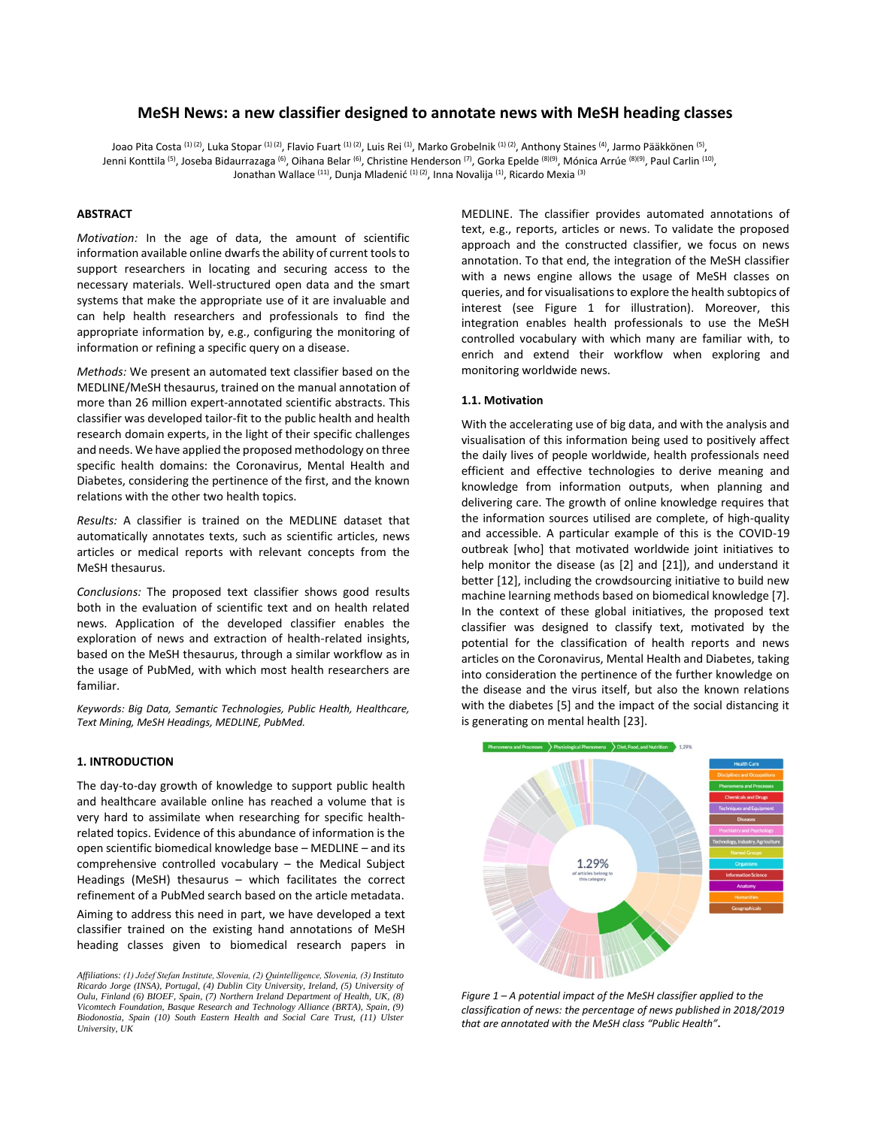# **MeSH News: a new classifier designed to annotate news with MeSH heading classes**

Joao Pita Costa <sup>(1) (2)</sup>, Luka Stopar <sup>(1) (2)</sup>, Flavio Fuart <sup>(1) (2)</sup>, Luis Rei <sup>(1)</sup>, Marko Grobelnik <sup>(1) (2)</sup>, Anthony Staines <sup>(4)</sup>, Jarmo Pääkkönen <sup>(5)</sup>, Jenni Konttila <sup>(5)</sup>, Joseba Bidaurrazaga <sup>(6)</sup>, Oihana Belar <sup>(6)</sup>, Christine Henderson <sup>(7)</sup>, Gorka Epelde <sup>(8)(9)</sup>, Mónica Arrúe <sup>(8)(9)</sup>, Paul Carlin <sup>(10)</sup>, Jonathan Wallace <sup>(11)</sup>, Dunja Mladenić <sup>(1) (2)</sup>, Inna Novalija <sup>(1)</sup>, Ricardo Mexia <sup>(3)</sup>

#### **ABSTRACT**

*Motivation:* In the age of data, the amount of scientific information available online dwarfs the ability of current tools to support researchers in locating and securing access to the necessary materials. Well-structured open data and the smart systems that make the appropriate use of it are invaluable and can help health researchers and professionals to find the appropriate information by, e.g., configuring the monitoring of information or refining a specific query on a disease.

*Methods:* We present an automated text classifier based on the MEDLINE/MeSH thesaurus, trained on the manual annotation of more than 26 million expert-annotated scientific abstracts. This classifier was developed tailor-fit to the public health and health research domain experts, in the light of their specific challenges and needs. We have applied the proposed methodology on three specific health domains: the Coronavirus, Mental Health and Diabetes, considering the pertinence of the first, and the known relations with the other two health topics.

*Results:* A classifier is trained on the MEDLINE dataset that automatically annotates texts, such as scientific articles, news articles or medical reports with relevant concepts from the MeSH thesaurus.

*Conclusions:* The proposed text classifier shows good results both in the evaluation of scientific text and on health related news. Application of the developed classifier enables the exploration of news and extraction of health-related insights, based on the MeSH thesaurus, through a similar workflow as in the usage of PubMed, with which most health researchers are familiar.

*Keywords: Big Data, Semantic Technologies, Public Health, Healthcare, Text Mining, MeSH Headings, MEDLINE, PubMed.*

#### **1. INTRODUCTION**

The day-to-day growth of knowledge to support public health and healthcare available online has reached a volume that is very hard to assimilate when researching for specific healthrelated topics. Evidence of this abundance of information is the open scientific biomedical knowledge base – MEDLINE – and its comprehensive controlled vocabulary – the Medical Subject Headings (MeSH) thesaurus – which facilitates the correct refinement of a PubMed search based on the article metadata. Aiming to address this need in part, we have developed a text classifier trained on the existing hand annotations of MeSH heading classes given to biomedical research papers in

MEDLINE. The classifier provides automated annotations of text, e.g., reports, articles or news. To validate the proposed approach and the constructed classifier, we focus on news annotation. To that end, the integration of the MeSH classifier with a news engine allows the usage of MeSH classes on queries, and for visualisations to explore the health subtopics of interest (see Figure 1 for illustration). Moreover, this integration enables health professionals to use the MeSH controlled vocabulary with which many are familiar with, to enrich and extend their workflow when exploring and monitoring worldwide news.

#### **1.1. Motivation**

With the accelerating use of big data, and with the analysis and visualisation of this information being used to positively affect the daily lives of people worldwide, health professionals need efficient and effective technologies to derive meaning and knowledge from information outputs, when planning and delivering care. The growth of online knowledge requires that the information sources utilised are complete, of high-quality and accessible. A particular example of this is the COVID-19 outbreak [who] that motivated worldwide joint initiatives to help monitor the disease (as [2] and [21]), and understand it better [12], including the crowdsourcing initiative to build new machine learning methods based on biomedical knowledge [7]. In the context of these global initiatives, the proposed text classifier was designed to classify text, motivated by the potential for the classification of health reports and news articles on the Coronavirus, Mental Health and Diabetes, taking into consideration the pertinence of the further knowledge on the disease and the virus itself, but also the known relations with the diabetes [5] and the impact of the social distancing it is generating on mental health [23].



*Figure 1 – A potential impact of the MeSH classifier applied to the classification of news: the percentage of news published in 2018/2019 that are annotated with the MeSH class "Public Health"***.**

*Affiliations: (1) Jožef Stefan Institute, Slovenia, (2) Quintelligence, Slovenia, (3) Instituto Ricardo Jorge (INSA), Portugal, (4) Dublin City University, Ireland, (5) University of Oulu, Finland (6) BIOEF, Spain, (7) Northern Ireland Department of Health, UK, (8) Vicomtech Foundation, Basque Research and Technology Alliance (BRTA), Spain, (9) Biodonostia, Spain (10) South Eastern Health and Social Care Trust, (11) Ulster University, UK*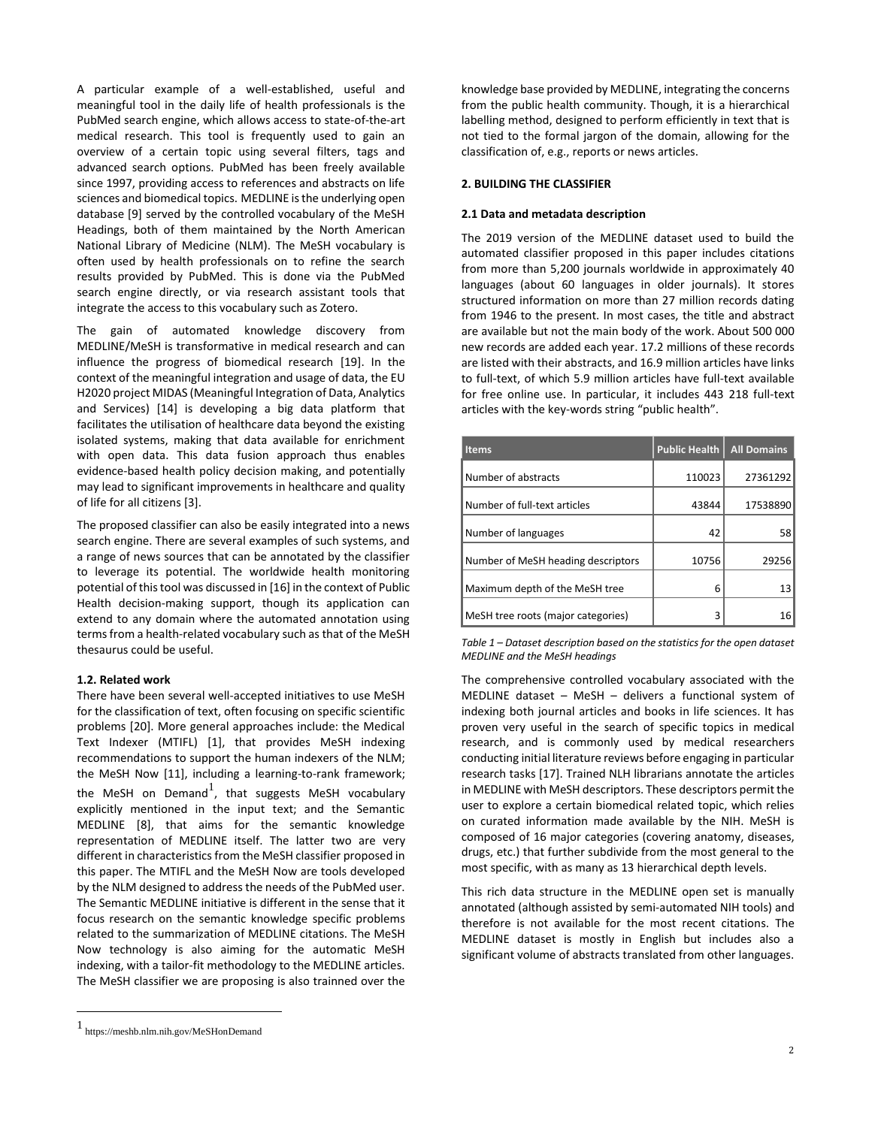A particular example of a well-established, useful and meaningful tool in the daily life of health professionals is the PubMed search engine, which allows access to state-of-the-art medical research. This tool is frequently used to gain an overview of a certain topic using several filters, tags and advanced search options. PubMed has been freely available since 1997, providing access to references and abstracts on life sciences and biomedical topics. MEDLINE is the underlying open database [9] served by the controlled vocabulary of the MeSH Headings, both of them maintained by the North American National Library of Medicine (NLM). The MeSH vocabulary is often used by health professionals on to refine the search results provided by PubMed. This is done via the PubMed search engine directly, or via research assistant tools that integrate the access to this vocabulary such as Zotero.

The gain of automated knowledge discovery from MEDLINE/MeSH is transformative in medical research and can influence the progress of biomedical research [19]. In the context of the meaningful integration and usage of data, the EU H2020 project MIDAS (Meaningful Integration of Data, Analytics and Services) [14] is developing a big data platform that facilitates the utilisation of healthcare data beyond the existing isolated systems, making that data available for enrichment with open data. This data fusion approach thus enables evidence-based health policy decision making, and potentially may lead to significant improvements in healthcare and quality of life for all citizens [3].

The proposed classifier can also be easily integrated into a news search engine. There are several examples of such systems, and a range of news sources that can be annotated by the classifier to leverage its potential. The worldwide health monitoring potential of this tool was discussed in [16] in the context of Public Health decision-making support, though its application can extend to any domain where the automated annotation using terms from a health-related vocabulary such as that of the MeSH thesaurus could be useful.

### **1.2. Related work**

There have been several well-accepted initiatives to use MeSH for the classification of text, often focusing on specific scientific problems [20]. More general approaches include: the Medical Text Indexer (MTIFL) [1], that provides MeSH indexing recommendations to support the human indexers of the NLM; the MeSH Now [11], including a learning-to-rank framework; the MeSH on Demand<sup>1</sup>, that suggests MeSH vocabulary explicitly mentioned in the input text; and the Semantic MEDLINE [8], that aims for the semantic knowledge representation of MEDLINE itself. The latter two are very different in characteristics from the MeSH classifier proposed in this paper. The MTIFL and the MeSH Now are tools developed by the NLM designed to address the needs of the PubMed user. The Semantic MEDLINE initiative is different in the sense that it focus research on the semantic knowledge specific problems related to the summarization of MEDLINE citations. The MeSH Now technology is also aiming for the automatic MeSH indexing, with a tailor-fit methodology to the MEDLINE articles. The MeSH classifier we are proposing is also trainned over the

knowledge base provided by MEDLINE, integrating the concerns from the public health community. Though, it is a hierarchical labelling method, designed to perform efficiently in text that is not tied to the formal jargon of the domain, allowing for the classification of, e.g., reports or news articles.

#### **2. BUILDING THE CLASSIFIER**

#### **2.1 Data and metadata description**

The 2019 version of the MEDLINE dataset used to build the automated classifier proposed in this paper includes citations from more than 5,200 journals worldwide in approximately 40 languages (about 60 languages in older journals). It stores structured information on more than 27 million records dating from 1946 to the present. In most cases, the title and abstract are available but not the main body of the work. About 500 000 new records are added each year. 17.2 millions of these records are listed with their abstracts, and 16.9 million articles have links to full-text, of which 5.9 million articles have full-text available for free online use. In particular, it includes 443 218 full-text articles with the key-words string "public health".

| <b>Items</b>                       | <b>Public Health</b> | <b>All Domains</b> |
|------------------------------------|----------------------|--------------------|
| Number of abstracts                | 110023               | 27361292           |
| Number of full-text articles       | 43844                | 17538890           |
| Number of languages                | 42                   | 58                 |
| Number of MeSH heading descriptors | 10756                | 29256              |
| Maximum depth of the MeSH tree     | 6                    | 13                 |
| MeSH tree roots (major categories) | ς                    | 16                 |

*Table 1 – Dataset description based on the statistics for the open dataset MEDLINE and the MeSH headings*

The comprehensive controlled vocabulary associated with the MEDLINE dataset – MeSH – delivers a functional system of indexing both journal articles and books in life sciences. It has proven very useful in the search of specific topics in medical research, and is commonly used by medical researchers conducting initial literature reviews before engaging in particular research tasks [17]. Trained NLH librarians annotate the articles in MEDLINE with MeSH descriptors. These descriptors permit the user to explore a certain biomedical related topic, which relies on curated information made available by the NIH. MeSH is composed of 16 major categories (covering anatomy, diseases, drugs, etc.) that further subdivide from the most general to the most specific, with as many as 13 hierarchical depth levels.

This rich data structure in the MEDLINE open set is manually annotated (although assisted by semi-automated NIH tools) and therefore is not available for the most recent citations. The MEDLINE dataset is mostly in English but includes also a significant volume of abstracts translated from other languages.

<sup>1</sup> https://meshb.nlm.nih.gov/MeSHonDemand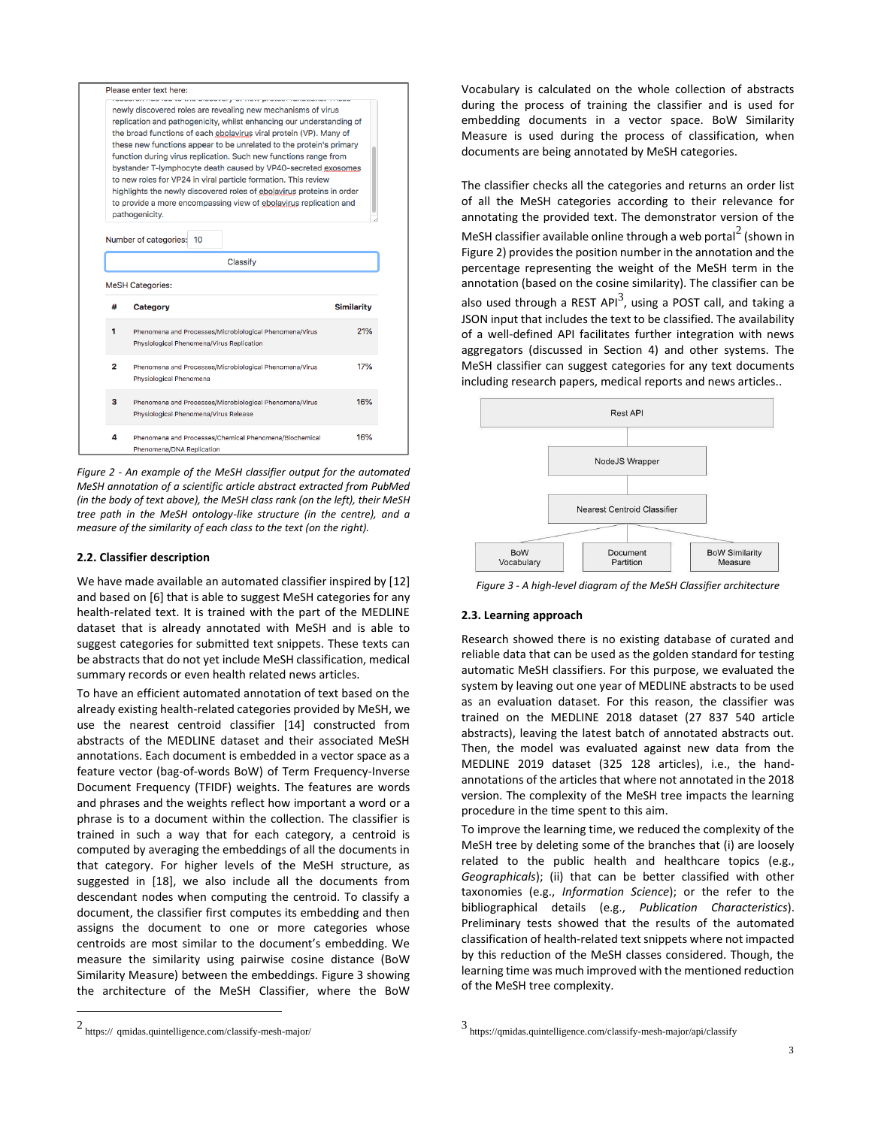|                                                                                                                                           | newly discovered roles are revealing new mechanisms of virus                                                                               |                   |  |  |
|-------------------------------------------------------------------------------------------------------------------------------------------|--------------------------------------------------------------------------------------------------------------------------------------------|-------------------|--|--|
|                                                                                                                                           | replication and pathogenicity, whilst enhancing our understanding of                                                                       |                   |  |  |
| the broad functions of each ebolavirus viral protein (VP). Many of<br>these new functions appear to be unrelated to the protein's primary |                                                                                                                                            |                   |  |  |
|                                                                                                                                           | function during virus replication. Such new functions range from                                                                           |                   |  |  |
|                                                                                                                                           | bystander T-lymphocyte death caused by VP40-secreted exosomes                                                                              |                   |  |  |
|                                                                                                                                           | to new roles for VP24 in viral particle formation. This review                                                                             |                   |  |  |
|                                                                                                                                           | highlights the newly discovered roles of ebolavirus proteins in order<br>to provide a more encompassing view of ebolavirus replication and |                   |  |  |
|                                                                                                                                           | pathogenicity.                                                                                                                             |                   |  |  |
|                                                                                                                                           |                                                                                                                                            |                   |  |  |
|                                                                                                                                           | Number of categories:<br>10                                                                                                                |                   |  |  |
|                                                                                                                                           |                                                                                                                                            |                   |  |  |
|                                                                                                                                           | Classify                                                                                                                                   |                   |  |  |
| #                                                                                                                                         | <b>MeSH Categories:</b><br>Category                                                                                                        | <b>Similarity</b> |  |  |
|                                                                                                                                           |                                                                                                                                            |                   |  |  |
| 1                                                                                                                                         | Phenomena and Processes/Microbiological Phenomena/Virus<br>Physiological Phenomena/Virus Replication                                       |                   |  |  |
|                                                                                                                                           |                                                                                                                                            |                   |  |  |
| $\overline{2}$                                                                                                                            | Phenomena and Processes/Microbiological Phenomena/Virus                                                                                    |                   |  |  |
|                                                                                                                                           | Physiological Phenomena                                                                                                                    |                   |  |  |
| з                                                                                                                                         | Phenomena and Processes/Microbiological Phenomena/Virus                                                                                    | 16%               |  |  |
|                                                                                                                                           | Physiological Phenomena/Virus Release                                                                                                      | 21%<br>17%        |  |  |
| Δ                                                                                                                                         | Phenomena and Processes/Chemical Phenomena/Biochemical                                                                                     | 16%               |  |  |

*Figure 2 - An example of the MeSH classifier output for the automated MeSH annotation of a scientific article abstract extracted from PubMed (in the body of text above), the MeSH class rank (on the left), their MeSH tree path in the MeSH ontology-like structure (in the centre), and a measure of the similarity of each class to the text (on the right).*

### **2.2. Classifier description**

We have made available an automated classifier inspired by [12] and based on [6] that is able to suggest MeSH categories for any health-related text. It is trained with the part of the MEDLINE dataset that is already annotated with MeSH and is able to suggest categories for submitted text snippets. These texts can be abstracts that do not yet include MeSH classification, medical summary records or even health related news articles.

To have an efficient automated annotation of text based on the already existing health-related categories provided by MeSH, we use the nearest centroid classifier [14] constructed from abstracts of the MEDLINE dataset and their associated MeSH annotations. Each document is embedded in a vector space as a feature vector (bag-of-words BoW) of Term Frequency-Inverse Document Frequency (TFIDF) weights. The features are words and phrases and the weights reflect how important a word or a phrase is to a document within the collection. The classifier is trained in such a way that for each category, a centroid is computed by averaging the embeddings of all the documents in that category. For higher levels of the MeSH structure, as suggested in [18], we also include all the documents from descendant nodes when computing the centroid. To classify a document, the classifier first computes its embedding and then assigns the document to one or more categories whose centroids are most similar to the document's embedding. We measure the similarity using pairwise cosine distance (BoW Similarity Measure) between the embeddings. Figure 3 showing the architecture of the MeSH Classifier, where the BoW

Vocabulary is calculated on the whole collection of abstracts during the process of training the classifier and is used for embedding documents in a vector space. BoW Similarity Measure is used during the process of classification, when documents are being annotated by MeSH categories.

The classifier checks all the categories and returns an order list of all the MeSH categories according to their relevance for annotating the provided text. The demonstrator version of the MeSH classifier available online through a web portal $^2$  (shown in Figure 2) provides the position number in the annotation and the percentage representing the weight of the MeSH term in the annotation (based on the cosine similarity). The classifier can be also used through a REST API<sup>3</sup>, using a POST call, and taking a JSON input that includes the text to be classified. The availability of a well-defined API facilitates further integration with news aggregators (discussed in Section 4) and other systems. The MeSH classifier can suggest categories for any text documents including research papers, medical reports and news articles..



*Figure 3 - A high-level diagram of the MeSH Classifier architecture*

# **2.3. Learning approach**

Research showed there is no existing database of curated and reliable data that can be used as the golden standard for testing automatic MeSH classifiers. For this purpose, we evaluated the system by leaving out one year of MEDLINE abstracts to be used as an evaluation dataset. For this reason, the classifier was trained on the MEDLINE 2018 dataset (27 837 540 article abstracts), leaving the latest batch of annotated abstracts out. Then, the model was evaluated against new data from the MEDLINE 2019 dataset (325 128 articles), i.e., the handannotations of the articles that where not annotated in the 2018 version. The complexity of the MeSH tree impacts the learning procedure in the time spent to this aim.

To improve the learning time, we reduced the complexity of the MeSH tree by deleting some of the branches that (i) are loosely related to the public health and healthcare topics (e.g., *Geographicals*); (ii) that can be better classified with other taxonomies (e.g., *Information Science*); or the refer to the bibliographical details (e.g., *Publication Characteristics*). Preliminary tests showed that the results of the automated classification of health-related text snippets where not impacted by this reduction of the MeSH classes considered. Though, the learning time was much improved with the mentioned reduction of the MeSH tree complexity.

<sup>2</sup> https:// qmidas.quintelligence.com/classify-mesh-major/

<sup>3</sup> https://qmidas.quintelligence.com/classify-mesh-major/api/classify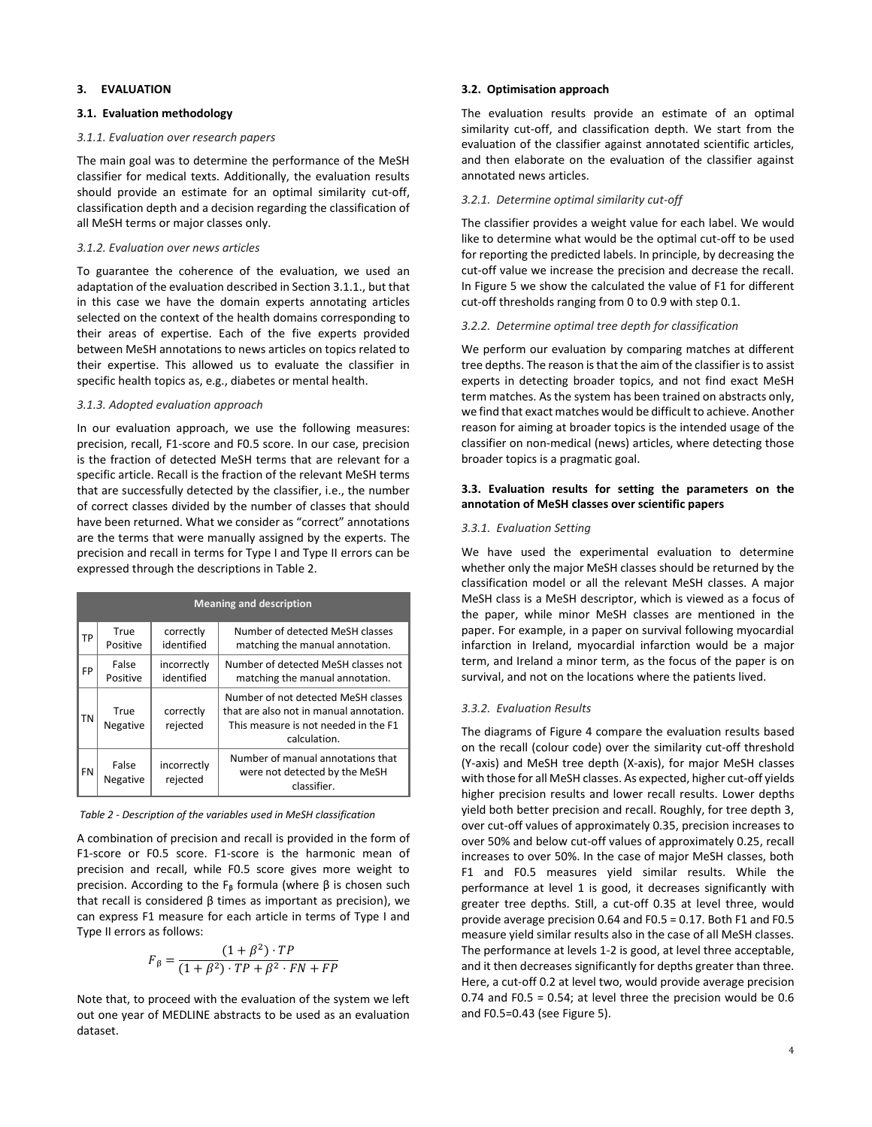## **3. EVALUATION**

### **3.1. Evaluation methodology**

### *3.1.1. Evaluation over research papers*

The main goal was to determine the performance of the MeSH classifier for medical texts. Additionally, the evaluation results should provide an estimate for an optimal similarity cut-off, classification depth and a decision regarding the classification of all MeSH terms or major classes only.

### *3.1.2. Evaluation over news articles*

To guarantee the coherence of the evaluation, we used an adaptation of the evaluation described in Section 3.1.1., but that in this case we have the domain experts annotating articles selected on the context of the health domains corresponding to their areas of expertise. Each of the five experts provided between MeSH annotations to news articles on topics related to their expertise. This allowed us to evaluate the classifier in specific health topics as, e.g., diabetes or mental health.

### *3.1.3. Adopted evaluation approach*

In our evaluation approach, we use the following measures: precision, recall, F1-score and F0.5 score. In our case, precision is the fraction of detected MeSH terms that are relevant for a specific article. Recall is the fraction of the relevant MeSH terms that are successfully detected by the classifier, i.e., the number of correct classes divided by the number of classes that should have been returned. What we consider as "correct" annotations are the terms that were manually assigned by the experts. The precision and recall in terms for Type I and Type II errors can be expressed through the descriptions in Table 2.

|    | <b>Meaning and description</b> |                           |                                                                                                                                        |  |  |  |  |
|----|--------------------------------|---------------------------|----------------------------------------------------------------------------------------------------------------------------------------|--|--|--|--|
| ТP | True<br>Positive               | correctly<br>identified   | Number of detected MeSH classes<br>matching the manual annotation.                                                                     |  |  |  |  |
| FP | False<br>Positive              | incorrectly<br>identified | Number of detected MeSH classes not<br>matching the manual annotation.                                                                 |  |  |  |  |
| ΤN | True<br>Negative               | correctly<br>rejected     | Number of not detected MeSH classes<br>that are also not in manual annotation.<br>This measure is not needed in the F1<br>calculation. |  |  |  |  |
| FN | False<br>Negative              | incorrectly<br>rejected   | Number of manual annotations that<br>were not detected by the MeSH<br>classifier.                                                      |  |  |  |  |

### *Table 2 - Description of the variables used in MeSH classification*

A combination of precision and recall is provided in the form of F1-score or F0.5 score. F1-score is the harmonic mean of precision and recall, while F0.5 score gives more weight to precision. According to the  $F_\beta$  formula (where β is chosen such that recall is considered  $β$  times as important as precision), we can express F1 measure for each article in terms of Type I and Type II errors as follows:

$$
F_{\beta} = \frac{(1+\beta^2) \cdot TP}{(1+\beta^2) \cdot TP + \beta^2 \cdot FN + FP}
$$

Note that, to proceed with the evaluation of the system we left out one year of MEDLINE abstracts to be used as an evaluation dataset.

### **3.2. Optimisation approach**

The evaluation results provide an estimate of an optimal similarity cut-off, and classification depth. We start from the evaluation of the classifier against annotated scientific articles, and then elaborate on the evaluation of the classifier against annotated news articles.

### *3.2.1. Determine optimal similarity cut-off*

The classifier provides a weight value for each label. We would like to determine what would be the optimal cut-off to be used for reporting the predicted labels. In principle, by decreasing the cut-off value we increase the precision and decrease the recall. In Figure 5 we show the calculated the value of F1 for different cut-off thresholds ranging from 0 to 0.9 with step 0.1.

### *3.2.2. Determine optimal tree depth for classification*

We perform our evaluation by comparing matches at different tree depths. The reason is that the aim of the classifier is to assist experts in detecting broader topics, and not find exact MeSH term matches. As the system has been trained on abstracts only, we find that exact matches would be difficult to achieve. Another reason for aiming at broader topics is the intended usage of the classifier on non-medical (news) articles, where detecting those broader topics is a pragmatic goal.

## **3.3. Evaluation results for setting the parameters on the annotation of MeSH classes over scientific papers**

#### *3.3.1. Evaluation Setting*

We have used the experimental evaluation to determine whether only the major MeSH classes should be returned by the classification model or all the relevant MeSH classes. A major MeSH class is a MeSH descriptor, which is viewed as a focus of the paper, while minor MeSH classes are mentioned in the paper. For example, in a paper on survival following myocardial infarction in Ireland, myocardial infarction would be a major term, and Ireland a minor term, as the focus of the paper is on survival, and not on the locations where the patients lived.

### *3.3.2. Evaluation Results*

The diagrams of Figure 4 compare the evaluation results based on the recall (colour code) over the similarity cut-off threshold (Y-axis) and MeSH tree depth (X-axis), for major MeSH classes with those for all MeSH classes. As expected, higher cut-off yields higher precision results and lower recall results. Lower depths yield both better precision and recall. Roughly, for tree depth 3, over cut-off values of approximately 0.35, precision increases to over 50% and below cut-off values of approximately 0.25, recall increases to over 50%. In the case of major MeSH classes, both F1 and F0.5 measures yield similar results. While the performance at level 1 is good, it decreases significantly with greater tree depths. Still, a cut-off 0.35 at level three, would provide average precision 0.64 and F0.5 = 0.17. Both F1 and F0.5 measure yield similar results also in the case of all MeSH classes. The performance at levels 1-2 is good, at level three acceptable, and it then decreases significantly for depths greater than three. Here, a cut-off 0.2 at level two, would provide average precision 0.74 and F0.5 = 0.54; at level three the precision would be 0.6 and F0.5=0.43 (see Figure 5).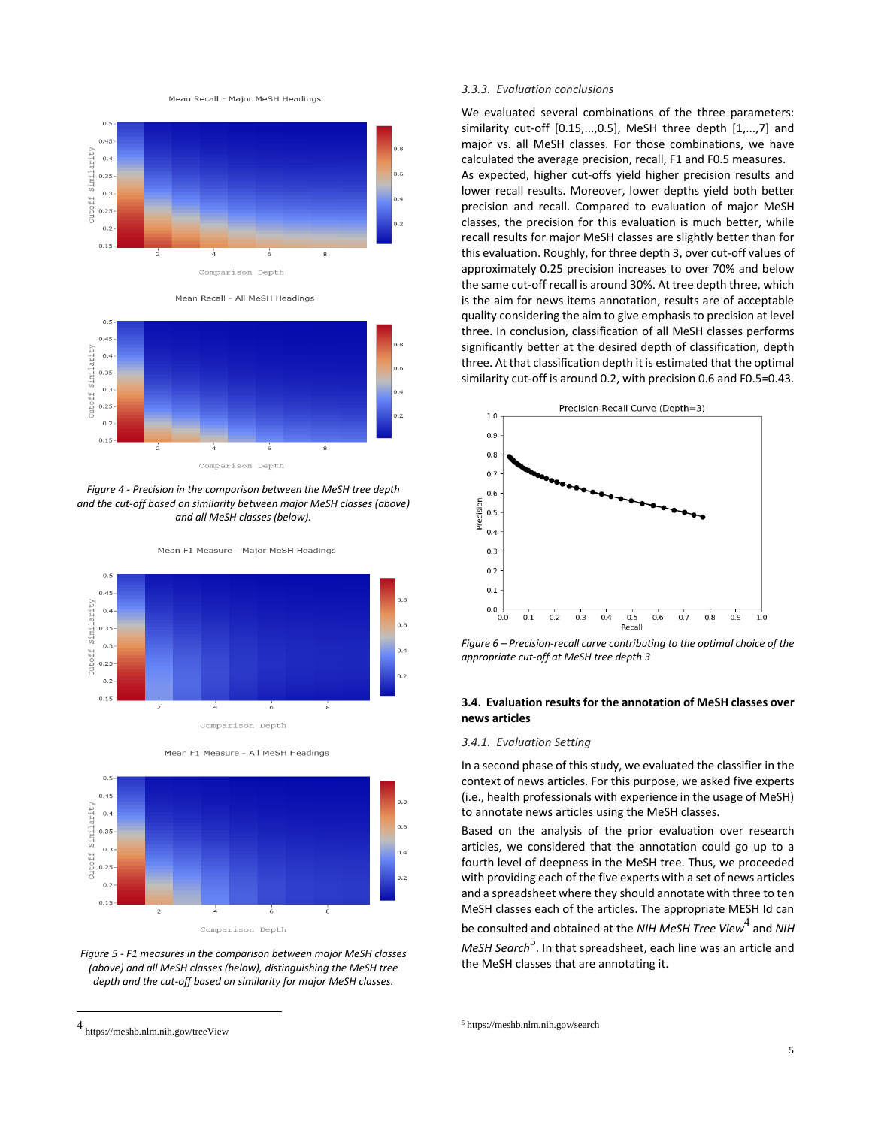Mean Recall - Major MeSH Headings



Mean Recall - All MeSH Headings



*Figure 4 - Precision in the comparison between the MeSH tree depth and the cut-off based on similarity between major MeSH classes (above) and all MeSH classes (below).*







*Figure 5 - F1 measures in the comparison between major MeSH classes (above) and all MeSH classes (below), distinguishing the MeSH tree depth and the cut-off based on similarity for major MeSH classes.*

#### *3.3.3. Evaluation conclusions*

We evaluated several combinations of the three parameters: similarity cut-off [0.15,...,0.5], MeSH three depth [1,...,7] and major vs. all MeSH classes. For those combinations, we have calculated the average precision, recall, F1 and F0.5 measures. As expected, higher cut-offs yield higher precision results and lower recall results. Moreover, lower depths yield both better precision and recall. Compared to evaluation of major MeSH classes, the precision for this evaluation is much better, while recall results for major MeSH classes are slightly better than for this evaluation. Roughly, for three depth 3, over cut-off values of approximately 0.25 precision increases to over 70% and below the same cut-off recall is around 30%. At tree depth three, which is the aim for news items annotation, results are of acceptable quality considering the aim to give emphasis to precision at level three. In conclusion, classification of all MeSH classes performs significantly better at the desired depth of classification, depth three. At that classification depth it is estimated that the optimal similarity cut-off is around 0.2, with precision 0.6 and F0.5=0.43.



*Figure 6 – Precision-recall curve contributing to the optimal choice of the appropriate cut-off at MeSH tree depth 3*

# **3.4. Evaluation results for the annotation of MeSH classes over news articles**

### *3.4.1. Evaluation Setting*

In a second phase of this study, we evaluated the classifier in the context of news articles. For this purpose, we asked five experts (i.e., health professionals with experience in the usage of MeSH) to annotate news articles using the MeSH classes.

Based on the analysis of the prior evaluation over research articles, we considered that the annotation could go up to a fourth level of deepness in the MeSH tree. Thus, we proceeded with providing each of the five experts with a set of news articles and a spreadsheet where they should annotate with three to ten MeSH classes each of the articles. The appropriate MESH Id can be consulted and obtained at the *NIH MeSH Tree View<sup>4</sup> and NIH* M*eSH Search*<sup>5</sup>. In that spreadsheet, each line was an article and the MeSH classes that are annotating it.

<sup>5</sup> https://meshb.nlm.nih.gov/search

<sup>4</sup> https://meshb.nlm.nih.gov/treeView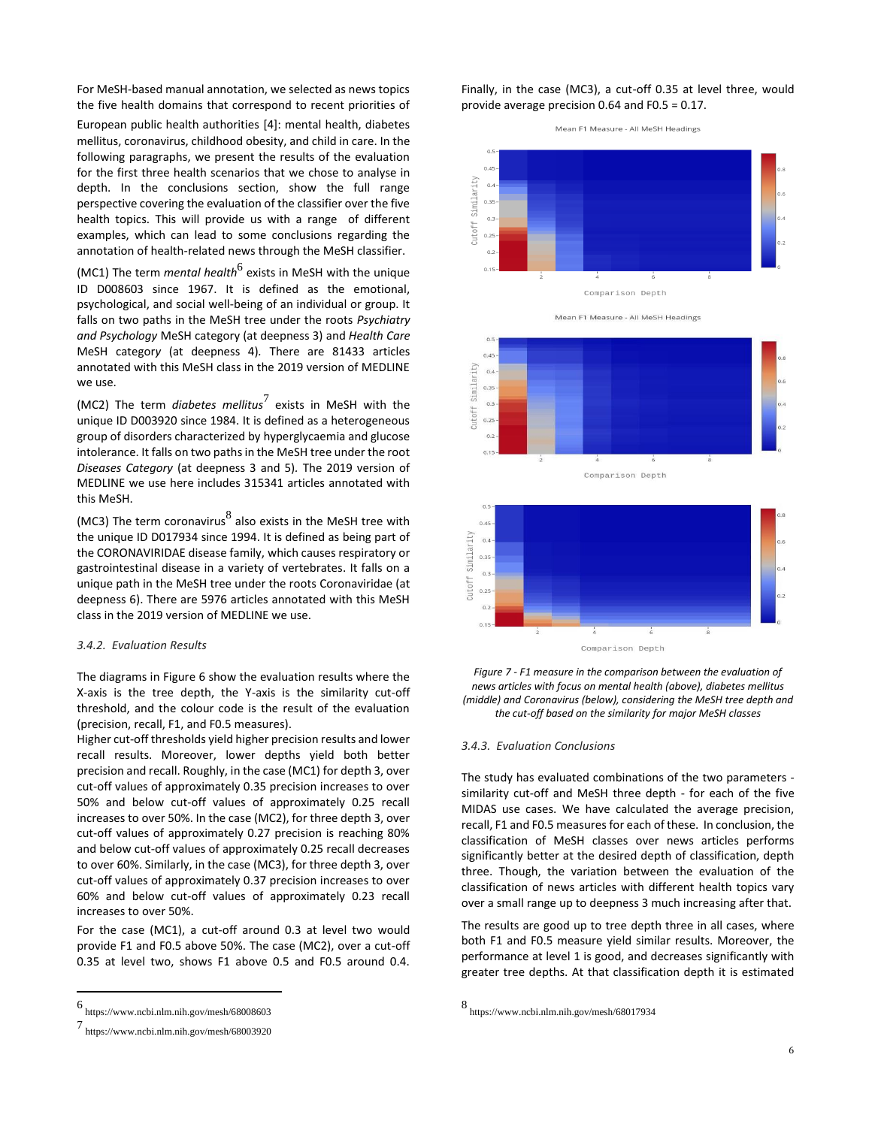For MeSH-based manual annotation, we selected as news topics the five health domains that correspond to recent priorities of

European public health authorities [4]: mental health, diabetes mellitus, coronavirus, childhood obesity, and child in care. In the following paragraphs, we present the results of the evaluation for the first three health scenarios that we chose to analyse in depth. In the conclusions section, show the full range perspective covering the evaluation of the classifier over the five health topics. This will provide us with a range of different examples, which can lead to some conclusions regarding the annotation of health-related news through the MeSH classifier.

(MC1) The term *mental health<sup>6</sup> exists in MeSH with the unique* ID D008603 since 1967. It is defined as the emotional, psychological, and social well-being of an individual or group. It falls on two paths in the MeSH tree under the roots *Psychiatry and Psychology* MeSH category (at deepness 3) and *Health Care*  MeSH categor*y* (at deepness 4)*.* There are 81433 articles annotated with this MeSH class in the 2019 version of MEDLINE we use.

(MC2) The term *diabetes mellitus*<sup>7</sup> exists in MeSH with the unique ID D003920 since 1984. It is defined as a heterogeneous group of disorders characterized by hyperglycaemia and glucose intolerance. It falls on two paths in the MeSH tree under the root *Diseases Category* (at deepness 3 and 5)*.* The 2019 version of MEDLINE we use here includes 315341 articles annotated with this MeSH.

(MC3) The term coronavirus $^8$  also exists in the MeSH tree with the unique ID D017934 since 1994. It is defined as being part of the CORONAVIRIDAE disease family, which causes respiratory or gastrointestinal disease in a variety of vertebrates. It falls on a unique path in the MeSH tree under the roots Coronaviridae (at deepness 6). There are 5976 articles annotated with this MeSH class in the 2019 version of MEDLINE we use.

#### *3.4.2. Evaluation Results*

The diagrams in Figure 6 show the evaluation results where the X-axis is the tree depth, the Y-axis is the similarity cut-off threshold, and the colour code is the result of the evaluation (precision, recall, F1, and F0.5 measures).

Higher cut-off thresholds yield higher precision results and lower recall results. Moreover, lower depths yield both better precision and recall. Roughly, in the case (MC1) for depth 3, over cut-off values of approximately 0.35 precision increases to over 50% and below cut-off values of approximately 0.25 recall increases to over 50%. In the case (MC2), for three depth 3, over cut-off values of approximately 0.27 precision is reaching 80% and below cut-off values of approximately 0.25 recall decreases to over 60%. Similarly, in the case (MC3), for three depth 3, over cut-off values of approximately 0.37 precision increases to over 60% and below cut-off values of approximately 0.23 recall increases to over 50%.

For the case (MC1), a cut-off around 0.3 at level two would provide F1 and F0.5 above 50%. The case (MC2), over a cut-off 0.35 at level two, shows F1 above 0.5 and F0.5 around 0.4.

Finally, in the case (MC3), a cut-off 0.35 at level three, would provide average precision 0.64 and F0.5 = 0.17.

Mean F1 Measure - All MeSH Headings





#### *3.4.3. Evaluation Conclusions*

The study has evaluated combinations of the two parameters similarity cut-off and MeSH three depth - for each of the five MIDAS use cases. We have calculated the average precision, recall, F1 and F0.5 measures for each of these. In conclusion, the classification of MeSH classes over news articles performs significantly better at the desired depth of classification, depth three. Though, the variation between the evaluation of the classification of news articles with different health topics vary over a small range up to deepness 3 much increasing after that.

The results are good up to tree depth three in all cases, where both F1 and F0.5 measure yield similar results. Moreover, the performance at level 1 is good, and decreases significantly with greater tree depths. At that classification depth it is estimated

<sup>6</sup> https://www.ncbi.nlm.nih.gov/mesh/68008603

<sup>7</sup> https://www.ncbi.nlm.nih.gov/mesh/68003920

<sup>8</sup> https://www.ncbi.nlm.nih.gov/mesh/68017934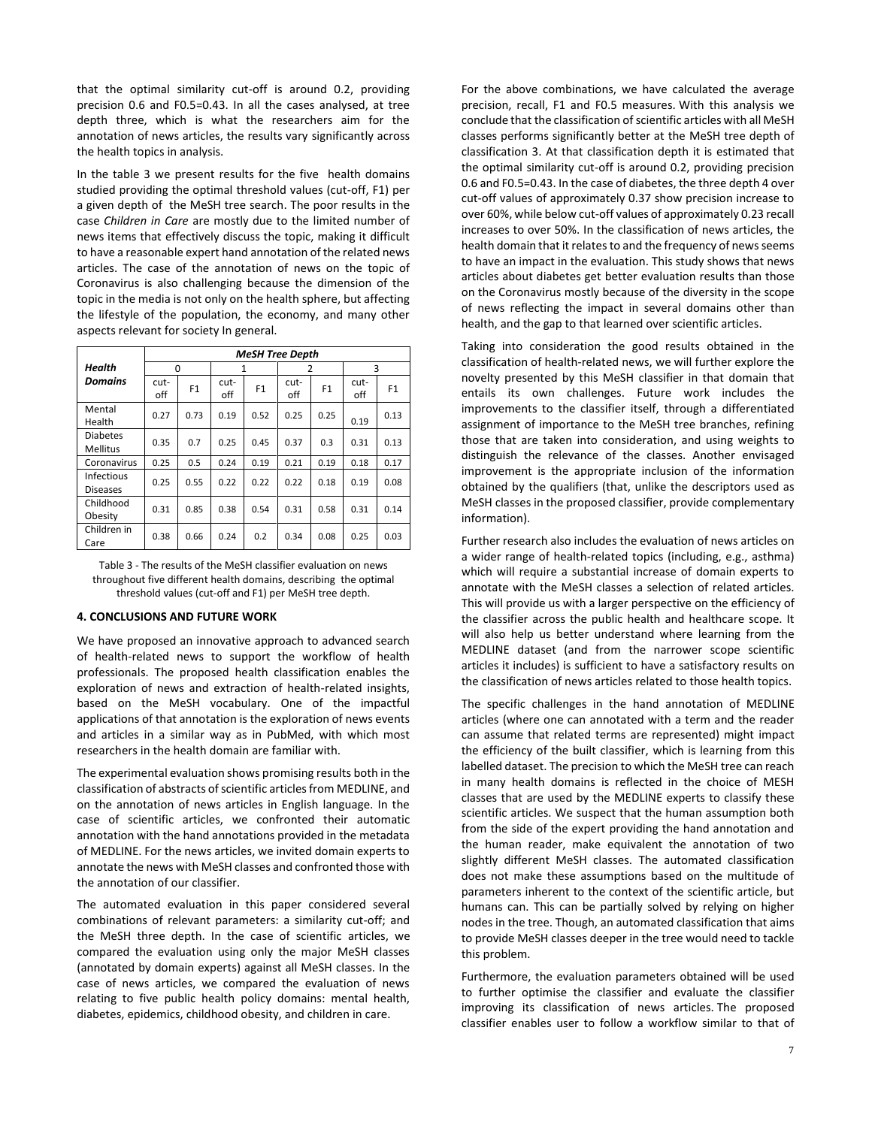that the optimal similarity cut-off is around 0.2, providing precision 0.6 and F0.5=0.43. In all the cases analysed, at tree depth three, which is what the researchers aim for the annotation of news articles, the results vary significantly across the health topics in analysis.

In the table 3 we present results for the five health domains studied providing the optimal threshold values (cut-off, F1) per a given depth of the MeSH tree search. The poor results in the case *Children in Care* are mostly due to the limited number of news items that effectively discuss the topic, making it difficult to have a reasonable expert hand annotation of the related news articles. The case of the annotation of news on the topic of Coronavirus is also challenging because the dimension of the topic in the media is not only on the health sphere, but affecting the lifestyle of the population, the economy, and many other aspects relevant for society In general.

|                                    | <b>MeSH Tree Depth</b> |                |             |                |             |                |             |      |
|------------------------------------|------------------------|----------------|-------------|----------------|-------------|----------------|-------------|------|
| <b>Health</b>                      | 0                      |                | 1           |                | 2           |                | 3           |      |
| <b>Domains</b>                     | cut-<br>off            | F <sub>1</sub> | cut-<br>off | F <sub>1</sub> | cut-<br>off | F <sub>1</sub> | cut-<br>off | F1   |
| Mental<br>Health                   | 0.27                   | 0.73           | 0.19        | 0.52           | 0.25        | 0.25           | 0.19        | 0.13 |
| <b>Diabetes</b><br><b>Mellitus</b> | 0.35                   | 0.7            | 0.25        | 0.45           | 0.37        | 0.3            | 0.31        | 0.13 |
| Coronavirus                        | 0.25                   | 0.5            | 0.24        | 0.19           | 0.21        | 0.19           | 0.18        | 0.17 |
| Infectious<br><b>Diseases</b>      | 0.25                   | 0.55           | 0.22        | 0.22           | 0.22        | 0.18           | 0.19        | 0.08 |
| Childhood<br>Obesity               | 0.31                   | 0.85           | 0.38        | 0.54           | 0.31        | 0.58           | 0.31        | 0.14 |
| Children in<br>Care                | 0.38                   | 0.66           | 0.24        | 0.2            | 0.34        | 0.08           | 0.25        | 0.03 |

Table 3 - The results of the MeSH classifier evaluation on news throughout five different health domains, describing the optimal threshold values (cut-off and F1) per MeSH tree depth.

## **4. CONCLUSIONS AND FUTURE WORK**

We have proposed an innovative approach to advanced search of health-related news to support the workflow of health professionals. The proposed health classification enables the exploration of news and extraction of health-related insights, based on the MeSH vocabulary. One of the impactful applications of that annotation is the exploration of news events and articles in a similar way as in PubMed, with which most researchers in the health domain are familiar with.

The experimental evaluation shows promising results both in the classification of abstracts of scientific articles from MEDLINE, and on the annotation of news articles in English language. In the case of scientific articles, we confronted their automatic annotation with the hand annotations provided in the metadata of MEDLINE. For the news articles, we invited domain experts to annotate the news with MeSH classes and confronted those with the annotation of our classifier.

The automated evaluation in this paper considered several combinations of relevant parameters: a similarity cut-off; and the MeSH three depth. In the case of scientific articles, we compared the evaluation using only the major MeSH classes (annotated by domain experts) against all MeSH classes. In the case of news articles, we compared the evaluation of news relating to five public health policy domains: mental health, diabetes, epidemics, childhood obesity, and children in care.

For the above combinations, we have calculated the average precision, recall, F1 and F0.5 measures. With this analysis we conclude that the classification of scientific articles with all MeSH classes performs significantly better at the MeSH tree depth of classification 3. At that classification depth it is estimated that the optimal similarity cut-off is around 0.2, providing precision 0.6 and F0.5=0.43. In the case of diabetes, the three depth 4 over cut-off values of approximately 0.37 show precision increase to over 60%, while below cut-off values of approximately 0.23 recall increases to over 50%. In the classification of news articles, the health domain that it relates to and the frequency of news seems to have an impact in the evaluation. This study shows that news articles about diabetes get better evaluation results than those on the Coronavirus mostly because of the diversity in the scope of news reflecting the impact in several domains other than health, and the gap to that learned over scientific articles.

Taking into consideration the good results obtained in the classification of health-related news, we will further explore the novelty presented by this MeSH classifier in that domain that entails its own challenges. Future work includes the improvements to the classifier itself, through a differentiated assignment of importance to the MeSH tree branches, refining those that are taken into consideration, and using weights to distinguish the relevance of the classes. Another envisaged improvement is the appropriate inclusion of the information obtained by the qualifiers (that, unlike the descriptors used as MeSH classes in the proposed classifier, provide complementary information).

Further research also includes the evaluation of news articles on a wider range of health-related topics (including, e.g., asthma) which will require a substantial increase of domain experts to annotate with the MeSH classes a selection of related articles. This will provide us with a larger perspective on the efficiency of the classifier across the public health and healthcare scope. It will also help us better understand where learning from the MEDLINE dataset (and from the narrower scope scientific articles it includes) is sufficient to have a satisfactory results on the classification of news articles related to those health topics.

The specific challenges in the hand annotation of MEDLINE articles (where one can annotated with a term and the reader can assume that related terms are represented) might impact the efficiency of the built classifier, which is learning from this labelled dataset. The precision to which the MeSH tree can reach in many health domains is reflected in the choice of MESH classes that are used by the MEDLINE experts to classify these scientific articles. We suspect that the human assumption both from the side of the expert providing the hand annotation and the human reader, make equivalent the annotation of two slightly different MeSH classes. The automated classification does not make these assumptions based on the multitude of parameters inherent to the context of the scientific article, but humans can. This can be partially solved by relying on higher nodes in the tree. Though, an automated classification that aims to provide MeSH classes deeper in the tree would need to tackle this problem.

Furthermore, the evaluation parameters obtained will be used to further optimise the classifier and evaluate the classifier improving its classification of news articles. The proposed classifier enables user to follow a workflow similar to that of